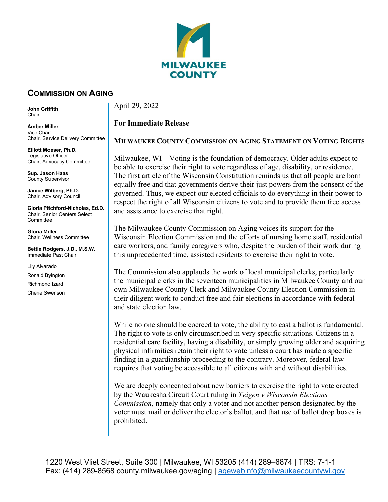

## **COMMISSION ON AGING**

**John Griffith**  Chair

**Amber Miller** Vice Chair Chair, Service Delivery Committee

**Elliott Moeser, Ph.D.** Legislative Officer Chair, Advocacy Committee

**Sup. Jason Haas** County Supervisor

**Janice Wilberg, Ph.D.** Chair, Advisory Council

**Gloria Pitchford-Nicholas, Ed.D.** Chair, Senior Centers Select **Committee** 

**Gloria Miller** Chair, Wellness Committee

**Bettie Rodgers, J.D., M.S.W.** Immediate Past Chair

Lily Alvarado

Ronald Byington

Richmond Izard

Cherie Swenson

April 29, 2022

## **For Immediate Release**

## **MILWAUKEE COUNTY COMMISSION ON AGING STATEMENT ON VOTING RIGHTS**

Milwaukee, WI – Voting is the foundation of democracy. Older adults expect to be able to exercise their right to vote regardless of age, disability, or residence. The first article of the Wisconsin Constitution reminds us that all people are born equally free and that governments derive their just powers from the consent of the governed. Thus, we expect our elected officials to do everything in their power to respect the right of all Wisconsin citizens to vote and to provide them free access and assistance to exercise that right.

The Milwaukee County Commission on Aging voices its support for the Wisconsin Election Commission and the efforts of nursing home staff, residential care workers, and family caregivers who, despite the burden of their work during this unprecedented time, assisted residents to exercise their right to vote.

The Commission also applauds the work of local municipal clerks, particularly the municipal clerks in the seventeen municipalities in Milwaukee County and our own Milwaukee County Clerk and Milwaukee County Election Commission in their diligent work to conduct free and fair elections in accordance with federal and state election law.

While no one should be coerced to vote, the ability to cast a ballot is fundamental. The right to vote is only circumscribed in very specific situations. Citizens in a residential care facility, having a disability, or simply growing older and acquiring physical infirmities retain their right to vote unless a court has made a specific finding in a guardianship proceeding to the contrary. Moreover, federal law requires that voting be accessible to all citizens with and without disabilities.

We are deeply concerned about new barriers to exercise the right to vote created by the Waukesha Circuit Court ruling in *Teigen v Wisconsin Elections Commission*, namely that only a voter and not another person designated by the voter must mail or deliver the elector's ballot, and that use of ballot drop boxes is prohibited.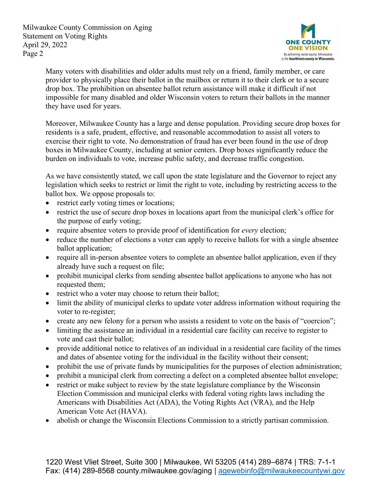Milwaukee County Commission on Aging Statement on Voting Rights April 29, 2022 Page 2



Many voters with disabilities and older adults must rely on a friend, family member, or care provider to physically place their ballot in the mailbox or return it to their clerk or to a secure drop box. The prohibition on absentee ballot return assistance will make it difficult if not impossible for many disabled and older Wisconsin voters to return their ballots in the manner they have used for years.

Moreover, Milwaukee County has a large and dense population. Providing secure drop boxes for residents is a safe, prudent, effective, and reasonable accommodation to assist all voters to exercise their right to vote. No demonstration of fraud has ever been found in the use of drop boxes in Milwaukee County, including at senior centers. Drop boxes significantly reduce the burden on individuals to vote, increase public safety, and decrease traffic congestion.

As we have consistently stated, we call upon the state legislature and the Governor to reject any legislation which seeks to restrict or limit the right to vote, including by restricting access to the ballot box. We oppose proposals to:

- restrict early voting times or locations;
- restrict the use of secure drop boxes in locations apart from the municipal clerk's office for the purpose of early voting;
- require absentee voters to provide proof of identification for *every* election;
- reduce the number of elections a voter can apply to receive ballots for with a single absentee ballot application;
- require all in-person absentee voters to complete an absentee ballot application, even if they already have such a request on file;
- prohibit municipal clerks from sending absentee ballot applications to anyone who has not requested them;
- restrict who a voter may choose to return their ballot;
- limit the ability of municipal clerks to update voter address information without requiring the voter to re-register;
- create any new felony for a person who assists a resident to vote on the basis of "coercion";
- limiting the assistance an individual in a residential care facility can receive to register to vote and cast their ballot;
- provide additional notice to relatives of an individual in a residential care facility of the times and dates of absentee voting for the individual in the facility without their consent;
- prohibit the use of private funds by municipalities for the purposes of election administration;
- prohibit a municipal clerk from correcting a defect on a completed absentee ballot envelope;
- restrict or make subject to review by the state legislature compliance by the Wisconsin Election Commission and municipal clerks with federal voting rights laws including the Americans with Disabilities Act (ADA), the Voting Rights Act (VRA), and the Help American Vote Act (HAVA).
- abolish or change the Wisconsin Elections Commission to a strictly partisan commission.